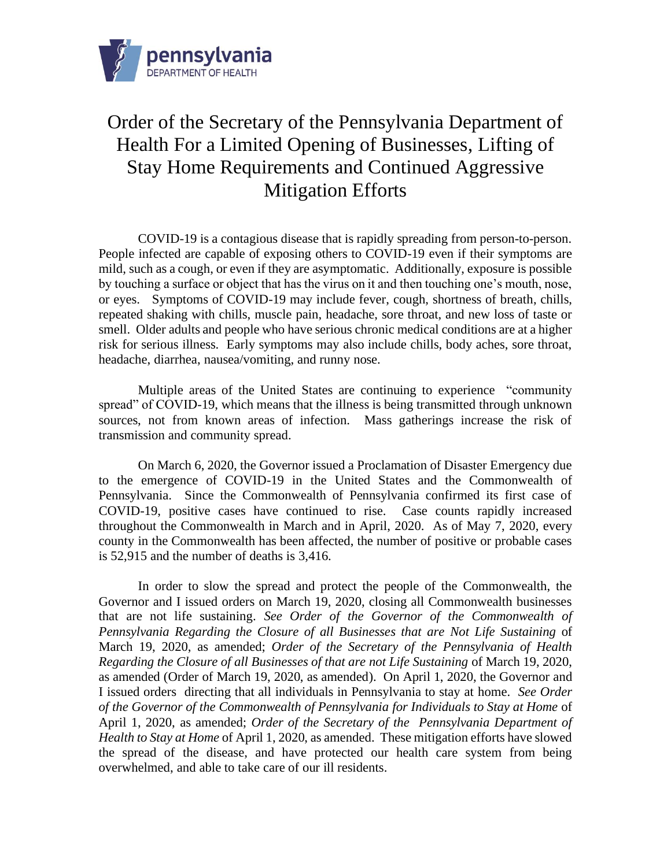

## Order of the Secretary of the Pennsylvania Department of Health For a Limited Opening of Businesses, Lifting of Stay Home Requirements and Continued Aggressive Mitigation Efforts

COVID-19 is a contagious disease that is rapidly spreading from person-to-person. People infected are capable of exposing others to COVID-19 even if their symptoms are mild, such as a cough, or even if they are asymptomatic. Additionally, exposure is possible by touching a surface or object that has the virus on it and then touching one's mouth, nose, or eyes. Symptoms of COVID-19 may include fever, cough, shortness of breath, chills, repeated shaking with chills, muscle pain, headache, sore throat, and new loss of taste or smell. Older adults and people who have serious chronic medical conditions are at a higher risk for serious illness. Early symptoms may also include chills, body aches, sore throat, headache, diarrhea, nausea/vomiting, and runny nose.

Multiple areas of the United States are continuing to experience "community spread" of COVID-19, which means that the illness is being transmitted through unknown sources, not from known areas of infection. Mass gatherings increase the risk of transmission and community spread.

On March 6, 2020, the Governor issued a Proclamation of Disaster Emergency due to the emergence of COVID-19 in the United States and the Commonwealth of Pennsylvania. Since the Commonwealth of Pennsylvania confirmed its first case of COVID-19, positive cases have continued to rise. Case counts rapidly increased throughout the Commonwealth in March and in April, 2020. As of May 7, 2020, every county in the Commonwealth has been affected, the number of positive or probable cases is 52,915 and the number of deaths is 3,416.

In order to slow the spread and protect the people of the Commonwealth, the Governor and I issued orders on March 19, 2020, closing all Commonwealth businesses that are not life sustaining. *See Order of the Governor of the Commonwealth of Pennsylvania Regarding the Closure of all Businesses that are Not Life Sustaining* of March 19, 2020, as amended; *Order of the Secretary of the Pennsylvania of Health Regarding the Closure of all Businesses of that are not Life Sustaining* of March 19, 2020, as amended (Order of March 19, 2020, as amended). On April 1, 2020, the Governor and I issued orders directing that all individuals in Pennsylvania to stay at home. *See Order of the Governor of the Commonwealth of Pennsylvania for Individuals to Stay at Home* of April 1, 2020, as amended; *Order of the Secretary of the Pennsylvania Department of Health to Stay at Home* of April 1, 2020, as amended. These mitigation efforts have slowed the spread of the disease, and have protected our health care system from being overwhelmed, and able to take care of our ill residents.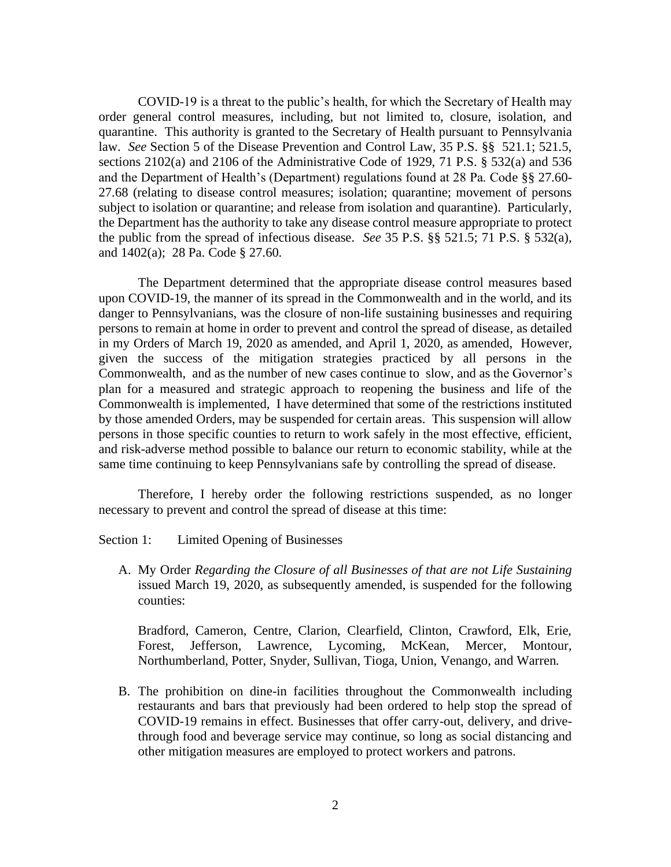COVID-19 is a threat to the public's health, for which the Secretary of Health may order general control measures, including, but not limited to, closure, isolation, and quarantine. This authority is granted to the Secretary of Health pursuant to Pennsylvania law. *See* Section 5 of the Disease Prevention and Control Law, 35 P.S. §§ 521.1; 521.5, sections 2102(a) and 2106 of the Administrative Code of 1929, 71 P.S. § 532(a) and 536 and the Department of Health's (Department) regulations found at 28 Pa. Code §§ 27.60- 27.68 (relating to disease control measures; isolation; quarantine; movement of persons subject to isolation or quarantine; and release from isolation and quarantine). Particularly, the Department has the authority to take any disease control measure appropriate to protect the public from the spread of infectious disease. *See* 35 P.S. §§ 521.5; 71 P.S. § 532(a), and 1402(a); 28 Pa. Code § 27.60.

The Department determined that the appropriate disease control measures based upon COVID-19, the manner of its spread in the Commonwealth and in the world, and its danger to Pennsylvanians, was the closure of non-life sustaining businesses and requiring persons to remain at home in order to prevent and control the spread of disease, as detailed in my Orders of March 19, 2020 as amended, and April 1, 2020, as amended, However, given the success of the mitigation strategies practiced by all persons in the Commonwealth, and as the number of new cases continue to slow, and as the Governor's plan for a measured and strategic approach to reopening the business and life of the Commonwealth is implemented, I have determined that some of the restrictions instituted by those amended Orders, may be suspended for certain areas. This suspension will allow persons in those specific counties to return to work safely in the most effective, efficient, and risk-adverse method possible to balance our return to economic stability, while at the same time continuing to keep Pennsylvanians safe by controlling the spread of disease.

Therefore, I hereby order the following restrictions suspended, as no longer necessary to prevent and control the spread of disease at this time:

Section 1: Limited Opening of Businesses

A. My Order *Regarding the Closure of all Businesses of that are not Life Sustaining* issued March 19, 2020, as subsequently amended, is suspended for the following counties:

Bradford, Cameron, Centre, Clarion, Clearfield, Clinton, Crawford, Elk, Erie, Forest, Jefferson, Lawrence, Lycoming, McKean, Mercer, Montour, Northumberland, Potter, Snyder, Sullivan, Tioga, Union, Venango, and Warren.

B. The prohibition on dine-in facilities throughout the Commonwealth including restaurants and bars that previously had been ordered to help stop the spread of COVID-19 remains in effect. Businesses that offer carry-out, delivery, and drivethrough food and beverage service may continue, so long as social distancing and other mitigation measures are employed to protect workers and patrons.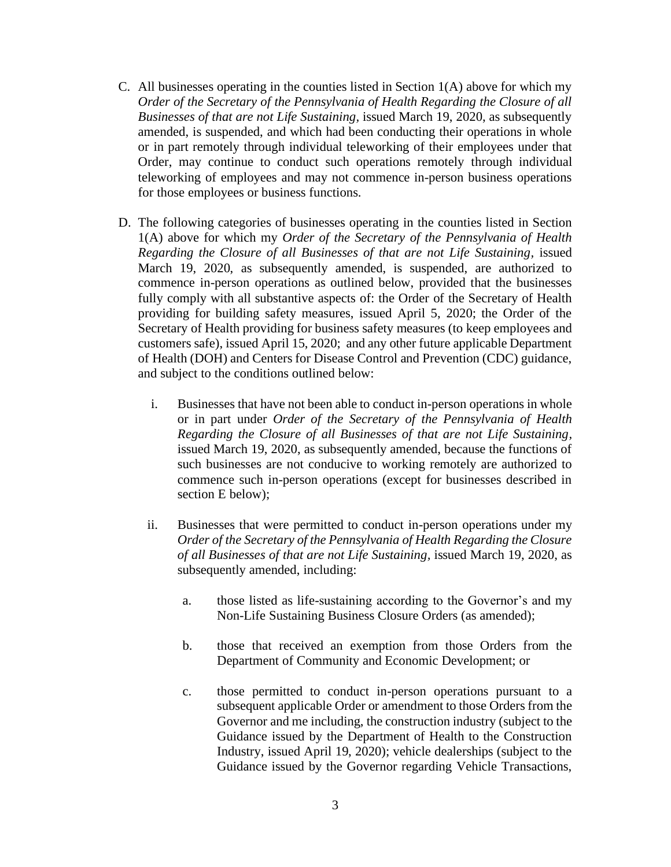- C. All businesses operating in the counties listed in Section 1(A) above for which my *Order of the Secretary of the Pennsylvania of Health Regarding the Closure of all Businesses of that are not Life Sustaining,* issued March 19, 2020, as subsequently amended, is suspended, and which had been conducting their operations in whole or in part remotely through individual teleworking of their employees under that Order, may continue to conduct such operations remotely through individual teleworking of employees and may not commence in-person business operations for those employees or business functions.
- D. The following categories of businesses operating in the counties listed in Section 1(A) above for which my *Order of the Secretary of the Pennsylvania of Health Regarding the Closure of all Businesses of that are not Life Sustaining,* issued March 19, 2020, as subsequently amended, is suspended, are authorized to commence in-person operations as outlined below, provided that the businesses fully comply with all substantive aspects of: the Order of the Secretary of Health providing for building safety measures, issued April 5, 2020; the Order of the Secretary of Health providing for business safety measures (to keep employees and customers safe), issued April 15, 2020; and any other future applicable Department of Health (DOH) and Centers for Disease Control and Prevention (CDC) guidance, and subject to the conditions outlined below:
	- i. Businesses that have not been able to conduct in-person operations in whole or in part under *Order of the Secretary of the Pennsylvania of Health Regarding the Closure of all Businesses of that are not Life Sustaining,* issued March 19, 2020, as subsequently amended, because the functions of such businesses are not conducive to working remotely are authorized to commence such in-person operations (except for businesses described in section E below);
	- ii. Businesses that were permitted to conduct in-person operations under my *Order of the Secretary of the Pennsylvania of Health Regarding the Closure of all Businesses of that are not Life Sustaining,* issued March 19, 2020, as subsequently amended, including:
		- a. those listed as life-sustaining according to the Governor's and my Non-Life Sustaining Business Closure Orders (as amended);
		- b. those that received an exemption from those Orders from the Department of Community and Economic Development; or
		- c. those permitted to conduct in-person operations pursuant to a subsequent applicable Order or amendment to those Orders from the Governor and me including, the construction industry (subject to the Guidance issued by the Department of Health to the Construction Industry, issued April 19, 2020); vehicle dealerships (subject to the Guidance issued by the Governor regarding Vehicle Transactions,